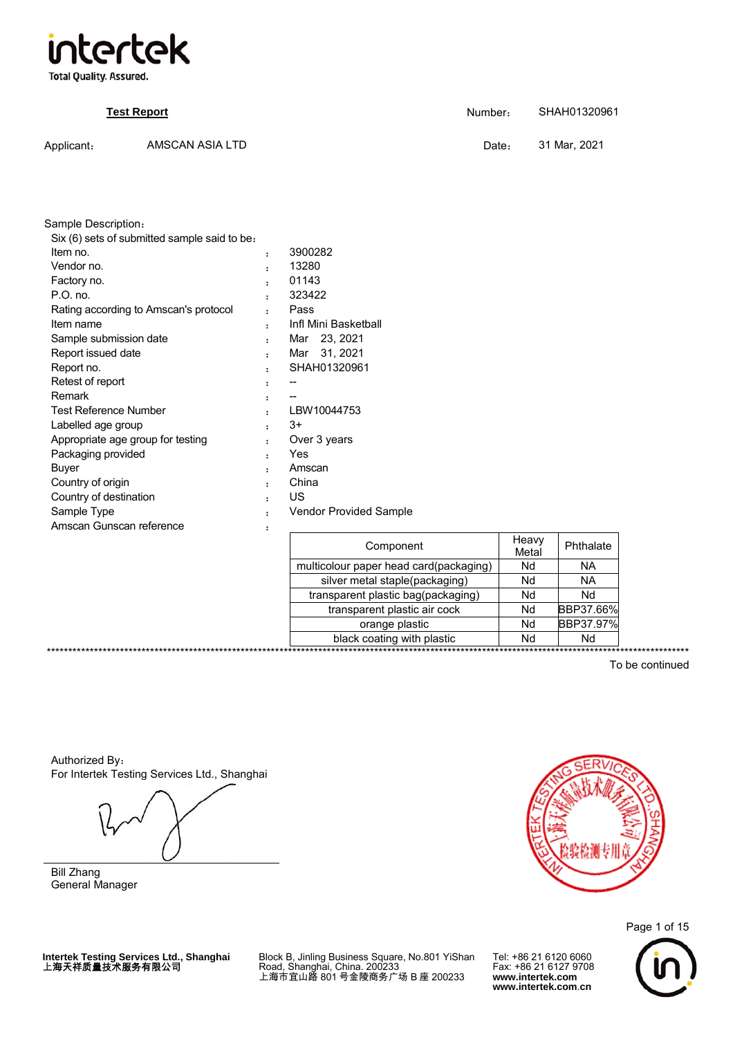

**Total Quality. Assured.** 

|            | <b>Test Report</b> | Number: | SHAH01320961 |
|------------|--------------------|---------|--------------|
| Applicant: | AMSCAN ASIA LTD    | Date:   | 31 Mar. 2021 |

| Sample Description:                          |                      |                               |
|----------------------------------------------|----------------------|-------------------------------|
| Six (6) sets of submitted sample said to be: |                      |                               |
| Item no.                                     | :                    | 3900282                       |
| Vendor no.                                   | $\ddot{\phantom{a}}$ | 13280                         |
| Factory no.                                  | $\ddot{\phantom{a}}$ | 01143                         |
| $P.O.$ no.                                   |                      | 323422                        |
| Rating according to Amscan's protocol        |                      | Pass                          |
| Item name                                    |                      | Infl Mini Basketball          |
| Sample submission date                       | $\ddot{\phantom{a}}$ | Mar 23, 2021                  |
| Report issued date                           | $\ddot{\phantom{a}}$ | Mar 31, 2021                  |
| Report no.                                   |                      | SHAH01320961                  |
| Retest of report                             | :                    |                               |
| Remark                                       | :                    |                               |
| <b>Test Reference Number</b>                 | $\ddot{\phantom{a}}$ | LBW10044753                   |
| Labelled age group                           |                      | $3+$                          |
| Appropriate age group for testing            |                      | Over 3 years                  |
| Packaging provided                           |                      | Yes                           |
| Buyer                                        |                      | Amscan                        |
| Country of origin                            | $\ddot{\phantom{a}}$ | China                         |
| Country of destination                       | $\ddot{\phantom{a}}$ | US                            |
| Sample Type                                  | $\ddot{\phantom{a}}$ | <b>Vendor Provided Sample</b> |
| Amscan Gunscan reference                     | ፡                    |                               |
|                                              |                      | Component                     |
|                                              |                      |                               |

| Component                              | Heavy<br>Metal | Phthalate |  |
|----------------------------------------|----------------|-----------|--|
| multicolour paper head card(packaging) | Nd             | ΝA        |  |
| silver metal staple(packaging)         | Nd             | <b>NA</b> |  |
| transparent plastic bag(packaging)     | Nd             | Nd        |  |
| transparent plastic air cock           | Nd             | BBP37.66% |  |
| orange plastic                         | Nd             | BBP37.97% |  |
| black coating with plastic             | Nd             | Nd        |  |
|                                        |                |           |  |

To be continued

Authorized By: For Intertek Testing Services Ltd., Shanghai

\*\*\*\*\*\*\*\*\*\*\*\*\*\*\*\*\*\*\*\*\*\*\*\*\*\*\*

Bill Zhang General Manager



Page 1 of 15

Intertek Testing Services Ltd., Shanghai<br>上海天祥质量技术服务有限公司

Block B, Jinling Business Square, No.801 YiShan<br>Road, Shanghai, China. 200233<br>上海市宜山路 801 号金陵商务广场 B 座 200233

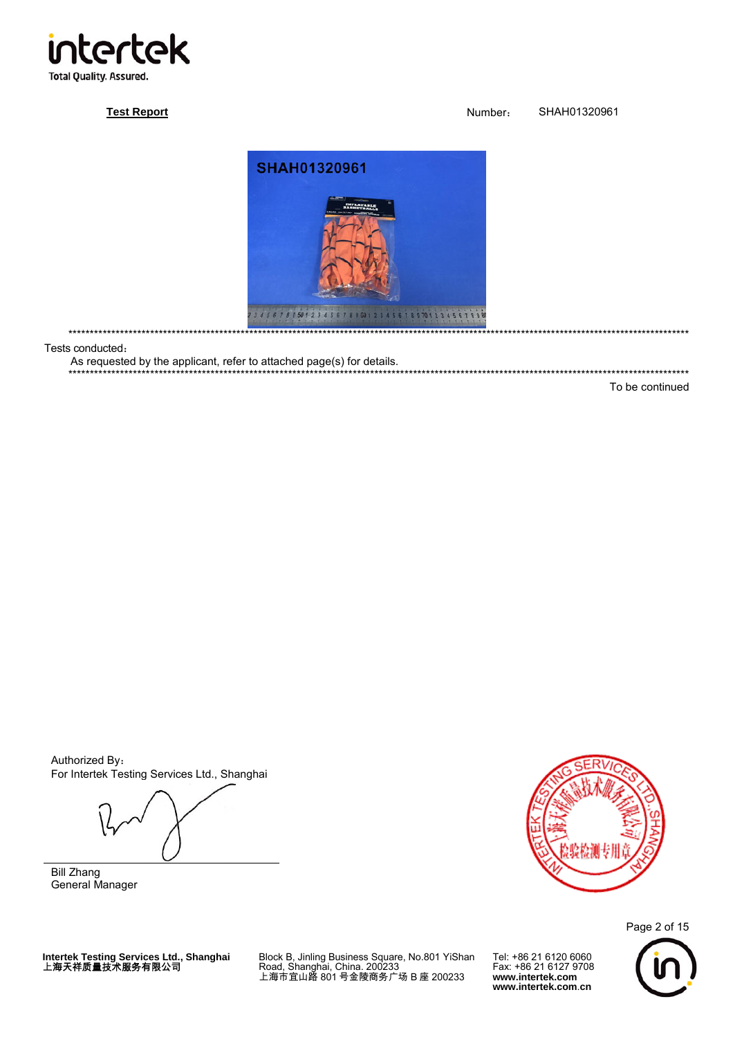

# **Test Report**

Number: SHAH01320961



。<br>・・・・・・・・・・・・・・・・・・・・・・・

Tests conducted:

\*\*\*\*\*\*\*\*\*\*\*\*\*\*\*\*

As requested by the applicant, refer to attached page(s) for details.

\*\*\*\*\*\*\*\*\*\*\*\*\*\*\*\*\*\*\*\*\*\*\*\*\*\*

To be continued

Authorized By: For Intertek Testing Services Ltd., Shanghai

**Bill Zhang** General Manager



Page 2 of 15

Intertek Testing Services Ltd., Shanghai<br>上海天祥质量技术服务有限公司

Block B, Jinling Business Square, No.801 YiShan<br>Road, Shanghai, China. 200233<br>上海市宜山路 801 号金陵商务广场 B 座 200233

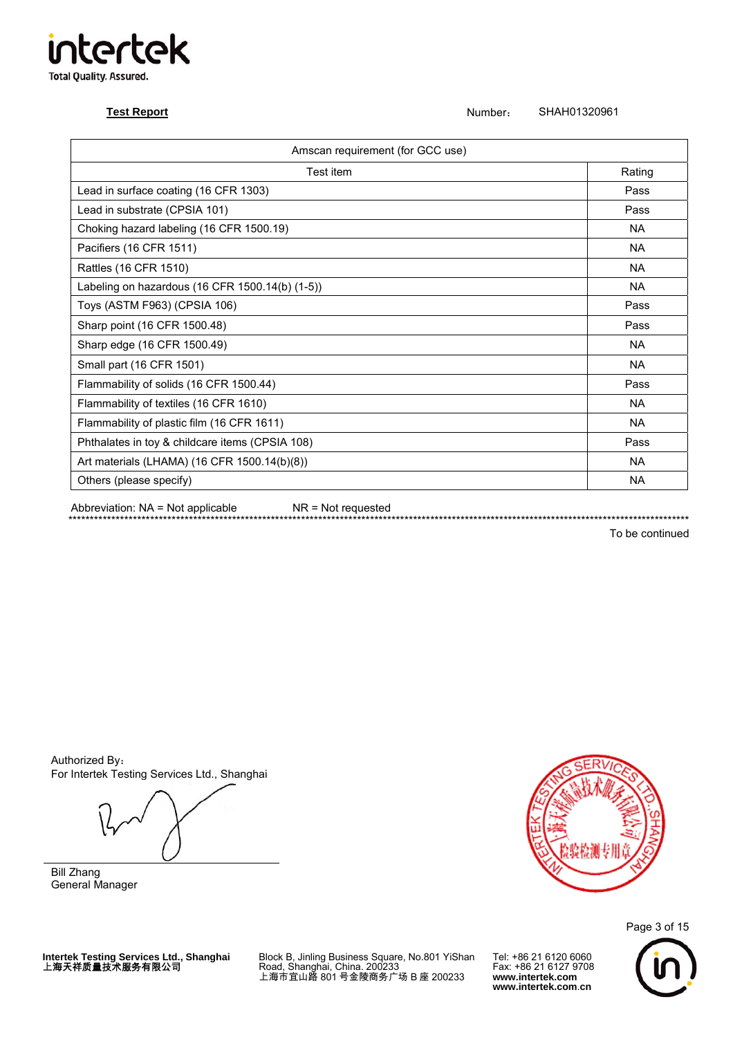# **ir ntertek Total Quality. Assured.**

**Test Report** Number: SHAH01320961

| Amscan requirement (for GCC use)                |           |  |
|-------------------------------------------------|-----------|--|
| Test item                                       | Rating    |  |
| Lead in surface coating (16 CFR 1303)           | Pass      |  |
| Lead in substrate (CPSIA 101)                   | Pass      |  |
| Choking hazard labeling (16 CFR 1500.19)        | <b>NA</b> |  |
| Pacifiers (16 CFR 1511)                         | <b>NA</b> |  |
| Rattles (16 CFR 1510)                           | <b>NA</b> |  |
| Labeling on hazardous (16 CFR 1500.14(b) (1-5)) | <b>NA</b> |  |
| Toys (ASTM F963) (CPSIA 106)                    | Pass      |  |
| Sharp point (16 CFR 1500.48)                    | Pass      |  |
| Sharp edge (16 CFR 1500.49)                     | <b>NA</b> |  |
| Small part (16 CFR 1501)                        | <b>NA</b> |  |
| Flammability of solids (16 CFR 1500.44)         | Pass      |  |
| Flammability of textiles (16 CFR 1610)          | <b>NA</b> |  |
| Flammability of plastic film (16 CFR 1611)      | <b>NA</b> |  |
| Phthalates in toy & childcare items (CPSIA 108) | Pass      |  |
| Art materials (LHAMA) (16 CFR 1500.14(b)(8))    | <b>NA</b> |  |
| Others (please specify)                         | <b>NA</b> |  |

Abbreviation: NA = Not applicable NR = Not requested

\*\*\*\*\*\*\*\*\*\*\*\*\*\*\*\*\*\*\*\*\*\*\*\*\*\*\*\*\*\*\*\*\*\*\*\*\*\*\*\*\*\*\*\*\*\*\*\*\*\*\*\*\*\*\*\*\*\*\*\*\*\*\*\*\*\*\*\*\*\*\*\*\*\*\*\*\*\*\*\*\*\*\*\*\*\*\*\*\*\*\*\*\*\*\*\*\*\*\*\*\*\*\*\*\*\*\*\*\*\*\*\*\*\*\*\*\*\*\*\*\*\*\*\*\*\*\*\*\*\*\*\*\*\*\*\*\*\*\*\*\*\*\*\*

To be continued

Authorized By: For Intertek Testing Services Ltd., Shanghai

Bill Zhang General Manager



Page 3 of 15

**Intertek Testing Services Ltd., Shanghai** 上海天祥质量技术服务有限公司

Block B, Jinling Business Square, No.801 YiShan Road, Shanghai, China. 200233 上海市宜山路 801 号金陵商务广场 B 座 200233

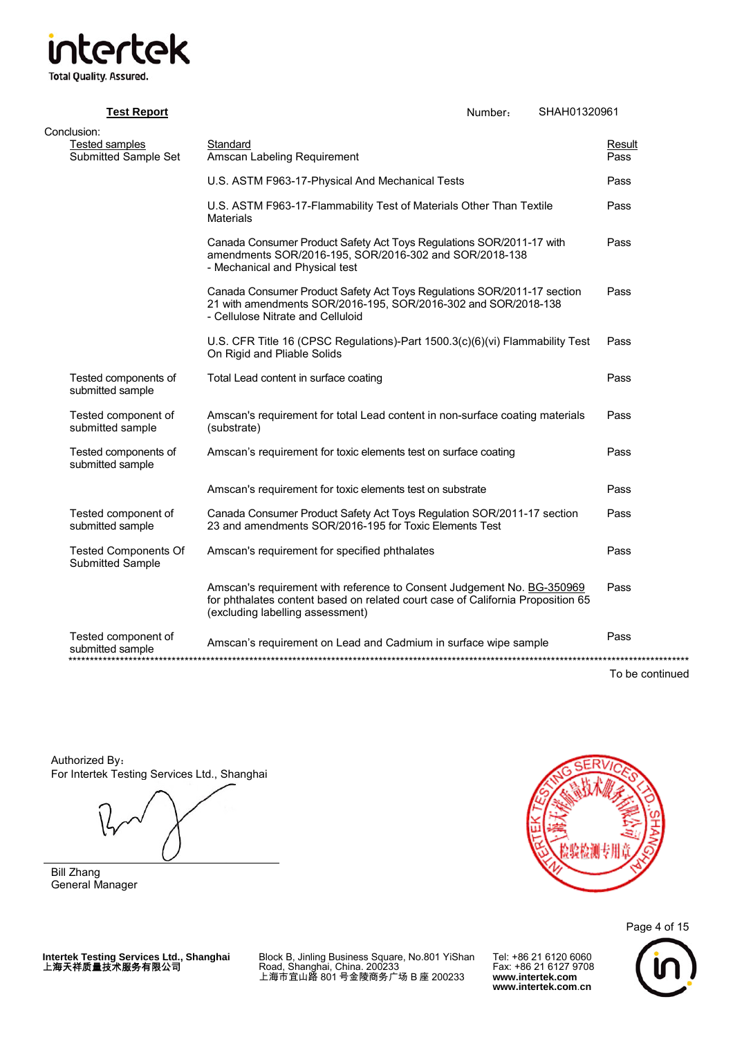# **Total Quality. Assured.**

**Test Report** Number: SHAH01320961 Conclusion: Tested samples Standard<br>
Submitted Sample Set Amscan Labeling Reguirement<br>
Rass Amscan Labeling Requirement U.S. ASTM F963-17-Physical And Mechanical Tests **Pass**  U.S. ASTM F963-17-Flammability Test of Materials Other Than Textile **Materials**  Pass Canada Consumer Product Safety Act Toys Regulations SOR/2011-17 with amendments SOR/2016-195, SOR/2016-302 and SOR/2018-138 - Mechanical and Physical test Pass Canada Consumer Product Safety Act Toys Regulations SOR/2011-17 section 21 with amendments SOR/2016-195, SOR/2016-302 and SOR/2018-138 - Cellulose Nitrate and Celluloid Pass U.S. CFR Title 16 (CPSC Regulations)-Part 1500.3(c)(6)(vi) Flammability Test On Rigid and Pliable Solids Pass Tested components of submitted sample Total Lead content in surface coating **Pass** Pass Tested component of submitted sample Amscan's requirement for total Lead content in non-surface coating materials (substrate) Pass Tested components of submitted sample Amscan's requirement for toxic elements test on surface coating Pass Amscan's requirement for toxic elements test on substrate **Pass** Pass Tested component of submitted sample Canada Consumer Product Safety Act Toys Regulation SOR/2011-17 section 23 and amendments SOR/2016-195 for Toxic Elements Test Pass Tested Components Of Submitted Sample Amscan's requirement for specified phthalates **Pass** Pass Amscan's requirement with reference to Consent Judgement No. BG-350969 for phthalates content based on related court case of California Proposition 65 (excluding labelling assessment) Pass Tested component of submitted sample Amscan's requirement on Lead and Cadmium in surface wipe sample Pass \*\*\*\*\*\*\*\*\*\*\*\*\*\*\*\*\*\*\*\*\*\*\*\*\*\*\*\*\*\*\*\*\*\*\*\*\*\*\*\*\*\*\*\*\*\*\*\*\*\*\*\*\*\*\*\*\*\*\*\*\*\*\*\*\*\*\*\*\*\*\*\*\*\*\*\*\*\*\*\*\*\*\*\*\*\*\*\*\*\*\*\*\*\*\*\*\*\*\*\*\*\*\*\*\*\*\*\*\*\*\*\*\*\*\*\*\*\*\*\*\*\*\*\*\*\*\*\*\*\*\*\*\*\*\*\*\*\*\*\*\*\*\*\* To be continued

Authorized By: For Intertek Testing Services Ltd., Shanghai

Bill Zhang General Manager



Page 4 of 15

**Intertek Testing Services Ltd., Shanghai** 上海天祥质量技术服务有限公司

Block B, Jinling Business Square, No.801 YiShan Road, Shanghai, China. 200233 上海市宜山路 801 号金陵商务广场 B 座 200233

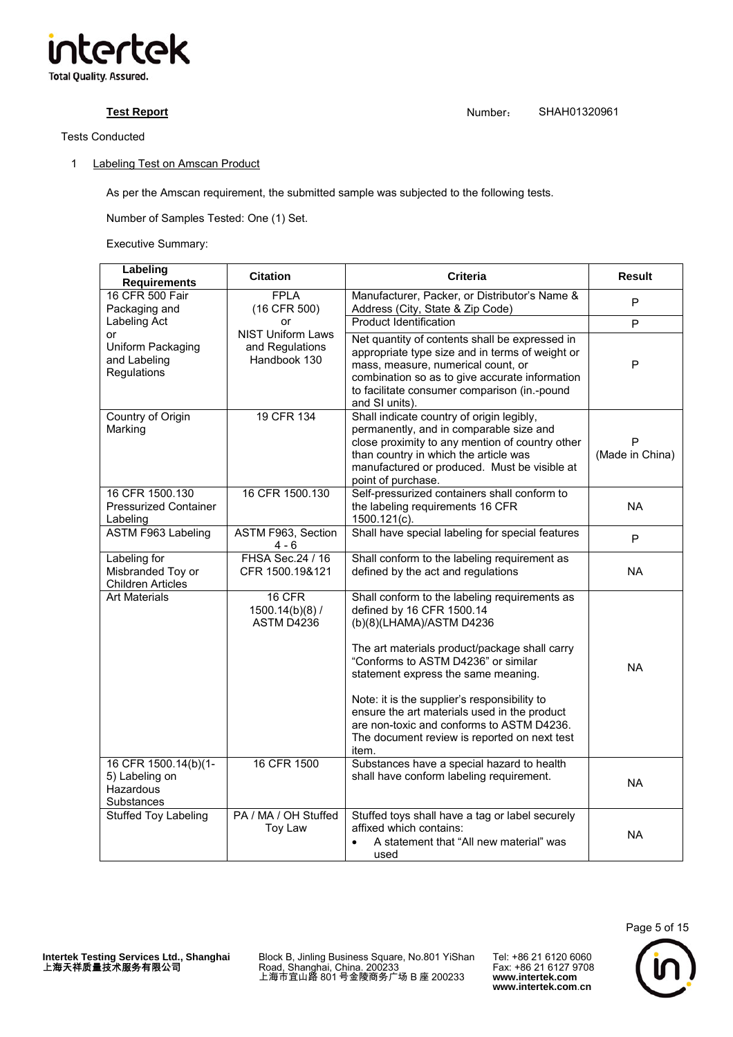

# Tests Conducted

# 1 Labeling Test on Amscan Product

As per the Amscan requirement, the submitted sample was subjected to the following tests.

Number of Samples Tested: One (1) Set.

Executive Summary:

| Labeling<br><b>Requirements</b>                                   | <b>Citation</b>                                             | <b>Criteria</b>                                                                                                                                                                                                                                                                                                                                                                                                                             | <b>Result</b>        |
|-------------------------------------------------------------------|-------------------------------------------------------------|---------------------------------------------------------------------------------------------------------------------------------------------------------------------------------------------------------------------------------------------------------------------------------------------------------------------------------------------------------------------------------------------------------------------------------------------|----------------------|
| 16 CFR 500 Fair<br>Packaging and                                  | <b>FPLA</b><br>(16 CFR 500)                                 | Manufacturer, Packer, or Distributor's Name &<br>Address (City, State & Zip Code)                                                                                                                                                                                                                                                                                                                                                           | P                    |
| Labeling Act                                                      | or                                                          | <b>Product Identification</b>                                                                                                                                                                                                                                                                                                                                                                                                               | P                    |
| or<br>Uniform Packaging<br>and Labeling<br><b>Regulations</b>     | <b>NIST Uniform Laws</b><br>and Regulations<br>Handbook 130 | Net quantity of contents shall be expressed in<br>appropriate type size and in terms of weight or<br>mass, measure, numerical count, or<br>combination so as to give accurate information<br>to facilitate consumer comparison (in.-pound<br>and SI units).                                                                                                                                                                                 | P                    |
| Country of Origin<br>Marking                                      | 19 CFR 134                                                  | Shall indicate country of origin legibly,<br>permanently, and in comparable size and<br>close proximity to any mention of country other<br>than country in which the article was<br>manufactured or produced. Must be visible at<br>point of purchase.                                                                                                                                                                                      | P<br>(Made in China) |
| 16 CFR 1500.130<br><b>Pressurized Container</b><br>Labeling       | 16 CFR 1500.130                                             | Self-pressurized containers shall conform to<br>the labeling requirements 16 CFR<br>1500.121(c).                                                                                                                                                                                                                                                                                                                                            | NA.                  |
| ASTM F963 Labeling                                                | ASTM F963, Section<br>$4 - 6$                               | Shall have special labeling for special features                                                                                                                                                                                                                                                                                                                                                                                            | P                    |
| Labeling for<br>Misbranded Toy or<br><b>Children Articles</b>     | FHSA Sec.24 / 16<br>CFR 1500.19&121                         | Shall conform to the labeling requirement as<br>defined by the act and regulations                                                                                                                                                                                                                                                                                                                                                          | <b>NA</b>            |
| <b>Art Materials</b>                                              | 16 CFR<br>$1500.14(b)(8)$ /<br>ASTM D4236                   | Shall conform to the labeling requirements as<br>defined by 16 CFR 1500.14<br>(b)(8)(LHAMA)/ASTM D4236<br>The art materials product/package shall carry<br>"Conforms to ASTM D4236" or similar<br>statement express the same meaning.<br>Note: it is the supplier's responsibility to<br>ensure the art materials used in the product<br>are non-toxic and conforms to ASTM D4236.<br>The document review is reported on next test<br>item. | <b>NA</b>            |
| 16 CFR 1500.14(b)(1-<br>5) Labeling on<br>Hazardous<br>Substances | 16 CFR 1500                                                 | Substances have a special hazard to health<br>shall have conform labeling requirement.                                                                                                                                                                                                                                                                                                                                                      | <b>NA</b>            |
| <b>Stuffed Toy Labeling</b>                                       | PA / MA / OH Stuffed<br>Toy Law                             | Stuffed toys shall have a tag or label securely<br>affixed which contains:<br>A statement that "All new material" was<br>$\bullet$<br>used                                                                                                                                                                                                                                                                                                  | <b>NA</b>            |

**Intertek Testing Services Ltd., Shanghai** 上海天祥质量技术服务有限公司

Block B, Jinling Business Square, No.801 YiShan Road, Shanghai, China. 200233 上海市宜山路 801 号金陵商务广场 B 座 200233

Tel: +86 21 6120 6060 Fax: +86 21 6127 9708 **www.intertek.com www.intertek.com**.**cn**

Page 5 of 15

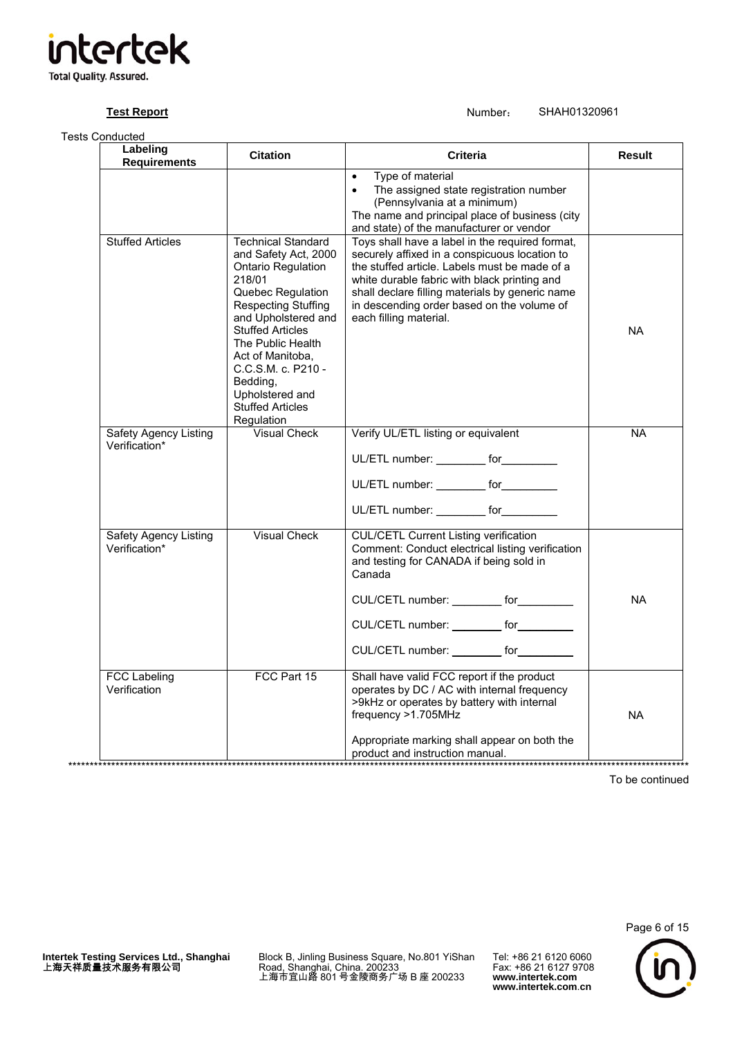| ntertel                        | Κ |
|--------------------------------|---|
|                                |   |
| <b>Total Quality. Assured.</b> |   |

Tests Conducted **Labeling Requirements Citation Criteria Result**  • Type of material The assigned state registration number (Pennsylvania at a minimum) The name and principal place of business (city and state) of the manufacturer or vendor Stuffed Articles **Technical Standard** and Safety Act, 2000 Ontario Regulation 218/01 Quebec Regulation Respecting Stuffing and Upholstered and Stuffed Articles The Public Health Act of Manitoba, C.C.S.M. c. P210 - Bedding, Upholstered and Stuffed Articles **Regulation** Toys shall have a label in the required format, securely affixed in a conspicuous location to the stuffed article. Labels must be made of a white durable fabric with black printing and shall declare filling materials by generic name in descending order based on the volume of each filling material. NA Safety Agency Listing Verification\* Visual Check | Verify UL/ETL listing or equivalent UL/ETL number: \_\_\_\_\_\_\_\_\_ for\_\_\_\_\_\_\_\_\_ UL/ETL number: \_\_\_\_\_\_\_\_\_ for\_\_\_\_\_\_\_\_\_\_ UL/ETL number: for NA Safety Agency Listing Verification\* Visual Check | CUL/CETL Current Listing verification Comment: Conduct electrical listing verification and testing for CANADA if being sold in Canada CUL/CETL number: \_\_\_\_\_\_\_\_ for\_\_\_\_\_\_\_\_\_ CUL/CETL number: entitled for CUL/CETL number: \_\_\_\_\_\_\_\_\_\_ for\_\_\_ NA FCC Labeling Verification FCC Part 15 Shall have valid FCC report if the product operates by DC / AC with internal frequency >9kHz or operates by battery with internal frequency >1.705MHz Appropriate marking shall appear on both the product and instruction manual. NA

To be continued

Page 6 of 15

Block B, Jinling Business Square, No.801 YiShan Road, Shanghai, China. 200233 上海市宜山路 801 号金陵商务广场 B 座 200233

\*\*\*\*\*\*\*\*\*\*\*\*\*\*\*\*\*\*\*\*\*\*\*\*\*\*\*\*\*\*\*\*\*\*\*\*\*\*\*\*\*\*\*\*\*\*\*\*\*\*\*\*\*\*\*\*\*\*\*\*\*\*\*\*\*\*\*\*\*\*\*\*\*\*\*\*\*\*\*\*\*\*\*\*\*\*\*\*\*\*\*\*\*\*\*\*\*\*\*\*\*\*\*\*\*\*\*\*\*\*\*\*\*\*\*\*\*\*\*\*\*\*\*\*\*\*\*\*\*\*\*\*\*\*\*\*\*\*\*\*\*\*\*\*

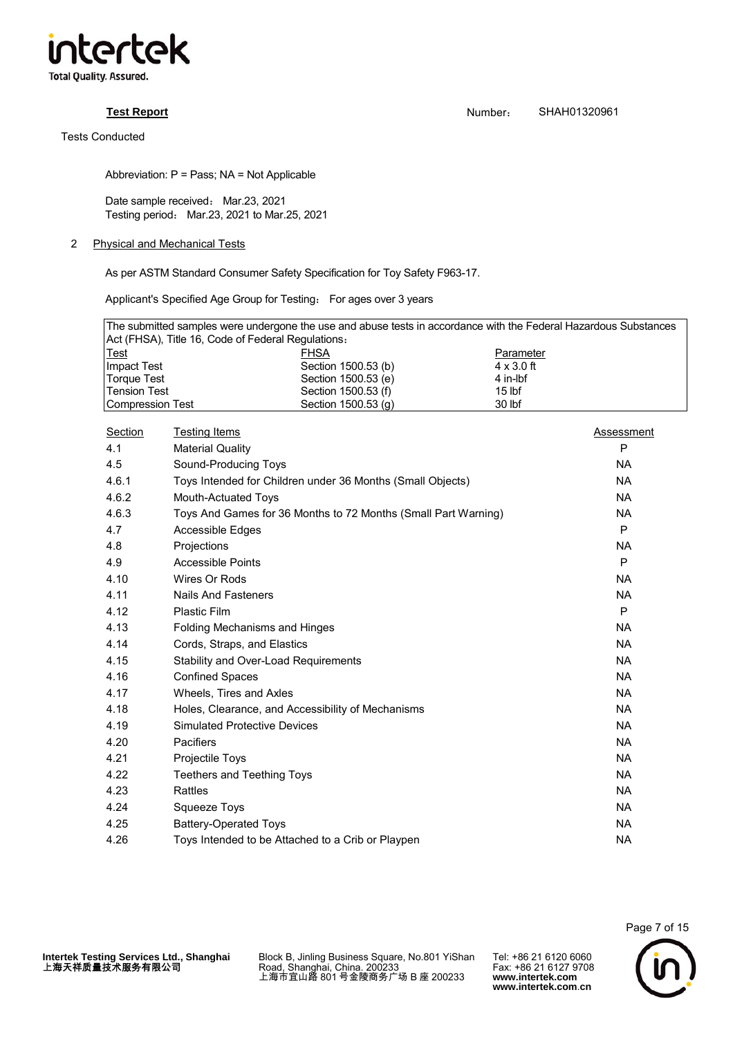

**Test Report** Number: SHAH01320961

Abbreviation: P = Pass; NA = Not Applicable

Date sample received: Mar.23, 2021 Testing period: Mar.23, 2021 to Mar.25, 2021

# 2 Physical and Mechanical Tests

As per ASTM Standard Consumer Safety Specification for Toy Safety F963-17.

Applicant's Specified Age Group for Testing: For ages over 3 years

| The submitted samples were undergone the use and abuse tests in accordance with the Federal Hazardous Substances |                     |                   |  |  |
|------------------------------------------------------------------------------------------------------------------|---------------------|-------------------|--|--|
| Act (FHSA), Title 16, Code of Federal Regulations:                                                               |                     |                   |  |  |
| <b>Test</b>                                                                                                      | <b>FHSA</b>         | Parameter         |  |  |
| Impact Test                                                                                                      | Section 1500.53 (b) | $4 \times 3.0$ ft |  |  |
| Torque Test                                                                                                      | Section 1500.53 (e) | 4 in-lbf          |  |  |
| Tension Test                                                                                                     | Section 1500.53 (f) | 15 <sub>lbf</sub> |  |  |
| Compression Test                                                                                                 | Section 1500.53 (g) | 30 lbf            |  |  |

| Section | <b>Testing Items</b>                                           | Assessment |
|---------|----------------------------------------------------------------|------------|
| 4.1     | <b>Material Quality</b>                                        | P          |
| 4.5     | Sound-Producing Toys                                           | NA.        |
| 4.6.1   | Toys Intended for Children under 36 Months (Small Objects)     | NA.        |
| 4.6.2   | Mouth-Actuated Toys                                            | <b>NA</b>  |
| 4.6.3   | Toys And Games for 36 Months to 72 Months (Small Part Warning) | NA.        |
| 4.7     | Accessible Edges                                               | P          |
| 4.8     | Projections                                                    | NA.        |
| 4.9     | <b>Accessible Points</b>                                       | P          |
| 4.10    | Wires Or Rods                                                  | NA.        |
| 4.11    | <b>Nails And Fasteners</b>                                     | <b>NA</b>  |
| 4.12    | <b>Plastic Film</b>                                            | P          |
| 4.13    | Folding Mechanisms and Hinges                                  | <b>NA</b>  |
| 4.14    | Cords, Straps, and Elastics                                    | <b>NA</b>  |
| 4.15    | Stability and Over-Load Requirements                           | NA.        |
| 4.16    | <b>Confined Spaces</b>                                         | NA.        |
| 4.17    | Wheels, Tires and Axles                                        | <b>NA</b>  |
| 4.18    | Holes, Clearance, and Accessibility of Mechanisms              | NA         |
| 4.19    | <b>Simulated Protective Devices</b>                            | NA.        |
| 4.20    | Pacifiers                                                      | <b>NA</b>  |
| 4.21    | Projectile Toys                                                | NA.        |
| 4.22    | <b>Teethers and Teething Toys</b>                              | <b>NA</b>  |
| 4.23    | Rattles                                                        | <b>NA</b>  |
| 4.24    | <b>Squeeze Toys</b>                                            | NA.        |
| 4.25    | <b>Battery-Operated Toys</b>                                   | <b>NA</b>  |
| 4.26    | Toys Intended to be Attached to a Crib or Playpen              | NA         |

Block B, Jinling Business Square, No.801 YiShan Road, Shanghai, China. 200233 上海市宜山路 801 号金陵商务广场 B 座 200233

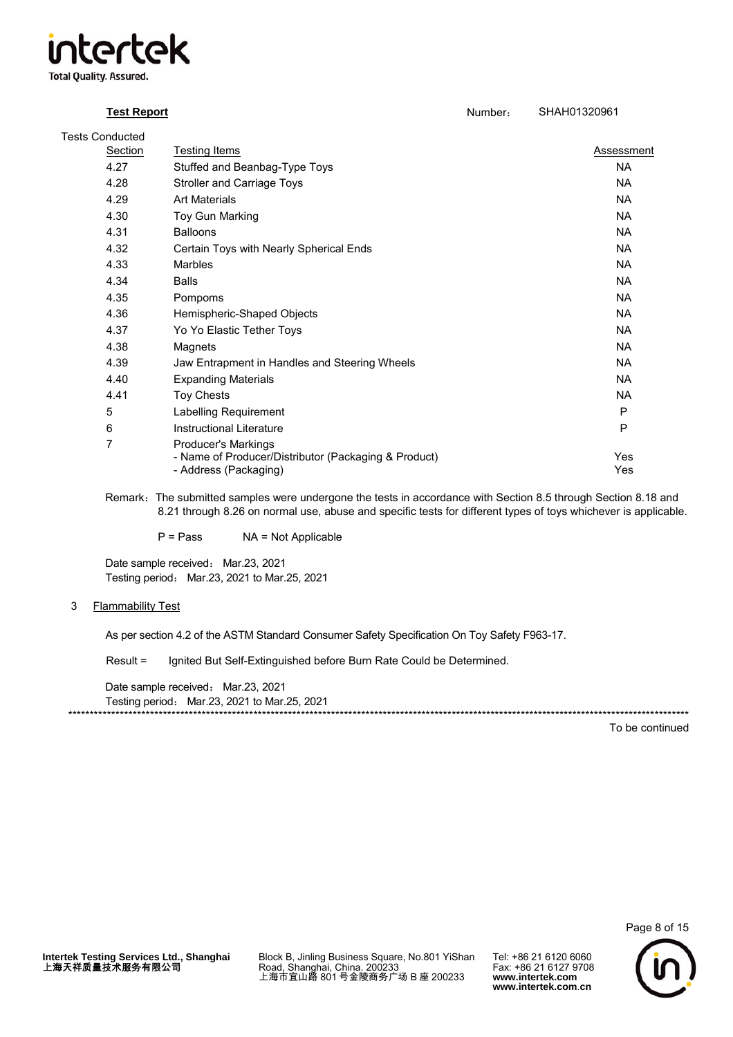

| <b>Tests Conducted</b> |                                                                                                      |                   |
|------------------------|------------------------------------------------------------------------------------------------------|-------------------|
| Section                | Testing Items                                                                                        | Assessment        |
| 4.27                   | Stuffed and Beanbag-Type Toys                                                                        | <b>NA</b>         |
| 4.28                   | <b>Stroller and Carriage Toys</b>                                                                    | <b>NA</b>         |
| 4.29                   | <b>Art Materials</b>                                                                                 | <b>NA</b>         |
| 4.30                   | Toy Gun Marking                                                                                      | <b>NA</b>         |
| 4.31                   | <b>Balloons</b>                                                                                      | <b>NA</b>         |
| 4.32                   | Certain Toys with Nearly Spherical Ends                                                              | <b>NA</b>         |
| 4.33                   | <b>Marbles</b>                                                                                       | <b>NA</b>         |
| 4.34                   | <b>Balls</b>                                                                                         | <b>NA</b>         |
| 4.35                   | Pompoms                                                                                              | <b>NA</b>         |
| 4.36                   | Hemispheric-Shaped Objects                                                                           | <b>NA</b>         |
| 4.37                   | Yo Yo Elastic Tether Toys                                                                            | <b>NA</b>         |
| 4.38                   | Magnets                                                                                              | <b>NA</b>         |
| 4.39                   | Jaw Entrapment in Handles and Steering Wheels                                                        | <b>NA</b>         |
| 4.40                   | <b>Expanding Materials</b>                                                                           | <b>NA</b>         |
| 4.41                   | <b>Toy Chests</b>                                                                                    | <b>NA</b>         |
| 5                      | Labelling Requirement                                                                                | P                 |
| 6                      | <b>Instructional Literature</b>                                                                      | P                 |
| 7                      | Producer's Markings<br>- Name of Producer/Distributor (Packaging & Product)<br>- Address (Packaging) | <b>Yes</b><br>Yes |

Remark: The submitted samples were undergone the tests in accordance with Section 8.5 through Section 8.18 and 8.21 through 8.26 on normal use, abuse and specific tests for different types of toys whichever is applicable.

P = PassNA = Not Applicable

Date sample received: Mar.23, 2021 Testing period: Mar.23, 2021 to Mar.25, 2021

# 3 Flammability Test

As per section 4.2 of the ASTM Standard Consumer Safety Specification On Toy Safety F963-17.

Result = Ignited But Self-Extinguished before Burn Rate Could be Determined.

Date sample received: Mar.23, 2021 Testing period: Mar.23, 2021 to Mar.25, 2021 \*\*\*\*\*\*\*\*\*\*\*\*\*\*\*\*\*\*\*\*\*\*\*\*\*\*\*\*\*\*\*\*\*\*\*\*\*\*\*\*\*\*\*\*\*\*\*\*\*\*\*\*\*\*\*\*\*\*\*\*\*\*\*\*\*\*\*\*\*\*\*\*\*\*\*\*\*\*\*\*\*\*\*\*\*\*\*\*\*\*\*\*\*\*\*\*\*\*\*\*\*\*\*\*\*\*\*\*\*\*\*\*\*\*\*\*\*\*\*\*\*\*\*\*\*\*\*\*\*\*\*\*\*\*\*\*\*\*\*\*\*\*\*\*

To be continued

Block B, Jinling Business Square, No.801 YiShan Road, Shanghai, China. 200233 上海市宜山路 801 号金陵商务广场 B 座 200233

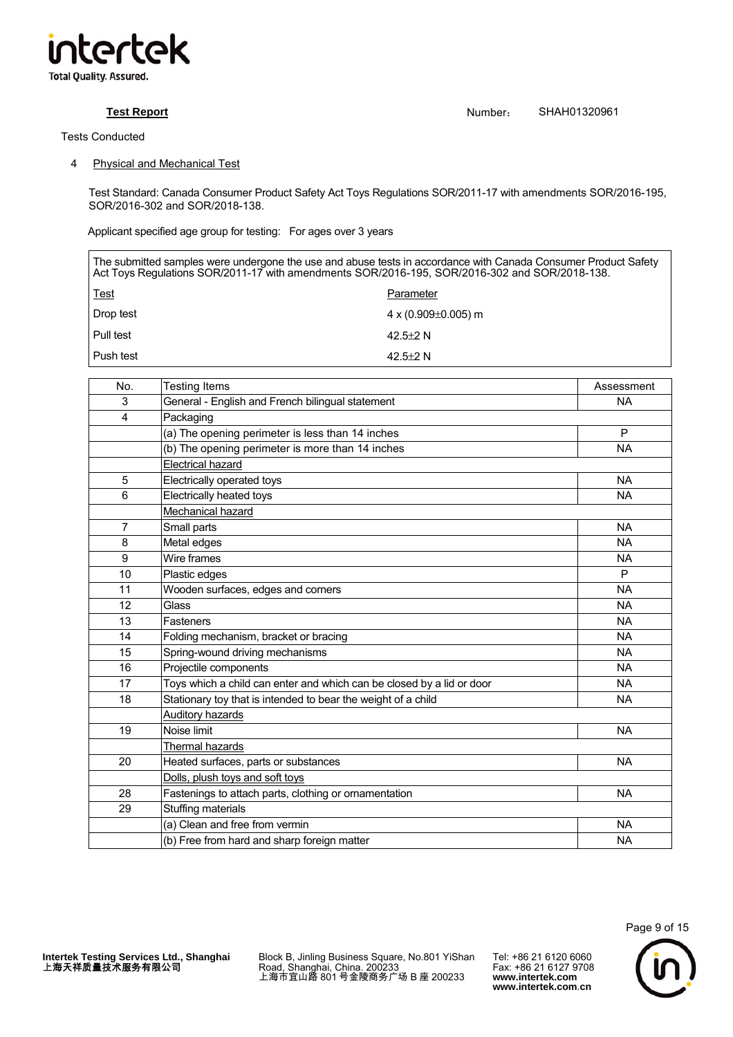

# 4 Physical and Mechanical Test

Test Standard: Canada Consumer Product Safety Act Toys Regulations SOR/2011-17 with amendments SOR/2016-195, SOR/2016-302 and SOR/2018-138.

Applicant specified age group for testing: For ages over 3 years

The submitted samples were undergone the use and abuse tests in accordance with Canada Consumer Product Safety Act Toys Regulations SOR/2011-17 with amendments SOR/2016-195, SOR/2016-302 and SOR/2018-138. Test Parameter Drop test 4 x (0.909±0.005) m Pull test 42.5 $\pm$ 2 N Push test 42.5±2 N

| No. | <b>Testing Items</b>                                                  | Assessment |  |
|-----|-----------------------------------------------------------------------|------------|--|
| 3   | General - English and French bilingual statement                      | <b>NA</b>  |  |
| 4   | Packaging                                                             |            |  |
|     | (a) The opening perimeter is less than 14 inches                      | P          |  |
|     | (b) The opening perimeter is more than 14 inches                      | <b>NA</b>  |  |
|     | <b>Electrical hazard</b>                                              |            |  |
| 5   | Electrically operated toys                                            | <b>NA</b>  |  |
| 6   | Electrically heated toys                                              | <b>NA</b>  |  |
|     | Mechanical hazard                                                     |            |  |
| 7   | Small parts                                                           | <b>NA</b>  |  |
| 8   | Metal edges                                                           | <b>NA</b>  |  |
| 9   | Wire frames                                                           | <b>NA</b>  |  |
| 10  | Plastic edges                                                         | P          |  |
| 11  | Wooden surfaces, edges and corners                                    | <b>NA</b>  |  |
| 12  | Glass                                                                 | <b>NA</b>  |  |
| 13  | Fasteners                                                             | <b>NA</b>  |  |
| 14  | Folding mechanism, bracket or bracing                                 | <b>NA</b>  |  |
| 15  | Spring-wound driving mechanisms                                       | <b>NA</b>  |  |
| 16  | Projectile components                                                 | <b>NA</b>  |  |
| 17  | Toys which a child can enter and which can be closed by a lid or door | <b>NA</b>  |  |
| 18  | Stationary toy that is intended to bear the weight of a child         | <b>NA</b>  |  |
|     | <b>Auditory hazards</b>                                               |            |  |
| 19  | Noise limit                                                           | <b>NA</b>  |  |
|     | Thermal hazards                                                       |            |  |
| 20  | Heated surfaces, parts or substances                                  | <b>NA</b>  |  |
|     | Dolls, plush toys and soft toys                                       |            |  |
| 28  | Fastenings to attach parts, clothing or ornamentation                 | <b>NA</b>  |  |
| 29  | Stuffing materials                                                    |            |  |
|     | (a) Clean and free from vermin                                        | <b>NA</b>  |  |
|     | (b) Free from hard and sharp foreign matter                           | <b>NA</b>  |  |

Block B, Jinling Business Square, No.801 YiShan Road, Shanghai, China. 200233 上海市宜山路 801 号金陵商务广场 B 座 200233

Tel: +86 21 6120 6060 Fax: +86 21 6127 9708 **www.intertek.com www.intertek.com**.**cn**

Page 9 of 15



**Test Report** SHAH01320961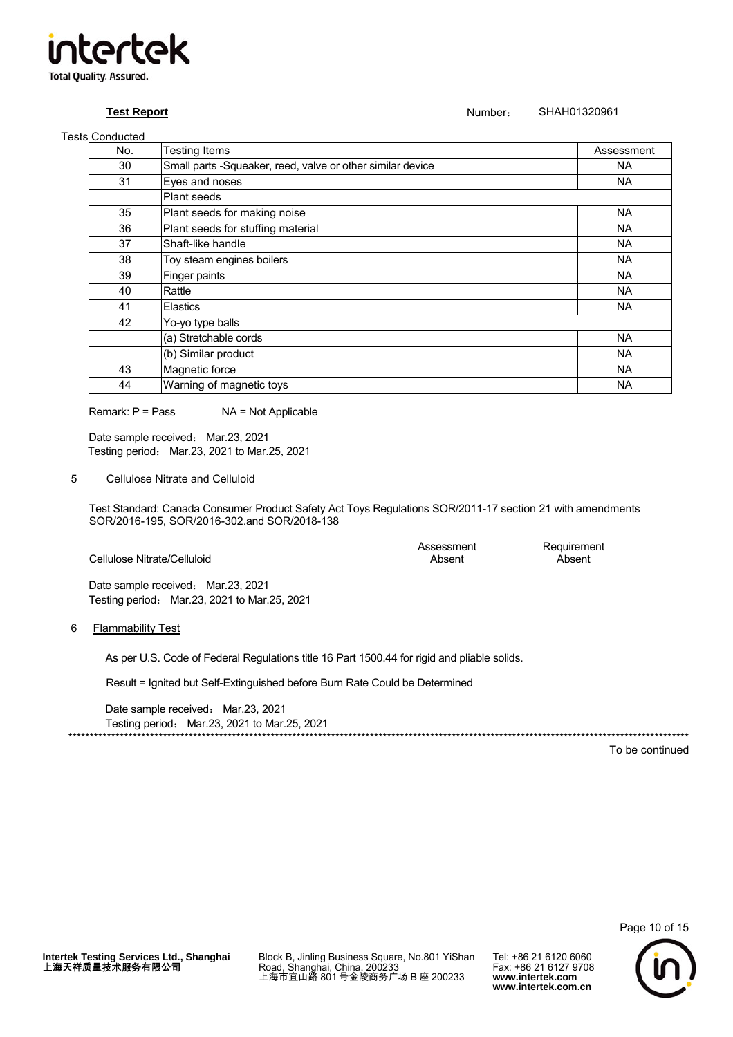

# **Test Report**

# SHAH01320961 Number:

# **Tests Conducted**

| No. | Testing Items                                              | Assessment |
|-----|------------------------------------------------------------|------------|
| 30  | Small parts -Squeaker, reed, valve or other similar device | <b>NA</b>  |
| 31  | Eyes and noses                                             | <b>NA</b>  |
|     | Plant seeds                                                |            |
| 35  | Plant seeds for making noise                               | <b>NA</b>  |
| 36  | Plant seeds for stuffing material                          | <b>NA</b>  |
| 37  | Shaft-like handle                                          | <b>NA</b>  |
| 38  | Toy steam engines boilers                                  | <b>NA</b>  |
| 39  | Finger paints                                              | <b>NA</b>  |
| 40  | Rattle                                                     | <b>NA</b>  |
| 41  | <b>Elastics</b>                                            | <b>NA</b>  |
| 42  | Yo-yo type balls                                           |            |
|     | (a) Stretchable cords                                      | <b>NA</b>  |
|     | (b) Similar product                                        | <b>NA</b>  |
| 43  | Magnetic force                                             | <b>NA</b>  |
| 44  | Warning of magnetic toys                                   | NA.        |

Remark:  $P = Pass$ NA = Not Applicable

Date sample received: Mar.23, 2021 Testing period: Mar.23, 2021 to Mar.25, 2021

# $\overline{5}$ Cellulose Nitrate and Celluloid

Test Standard: Canada Consumer Product Safety Act Toys Regulations SOR/2011-17 section 21 with amendments SOR/2016-195, SOR/2016-302.and SOR/2018-138

|                             | Assessment | Requirement |
|-----------------------------|------------|-------------|
| Cellulose Nitrate/Celluloid | Absent     | Absent      |

Date sample received: Mar.23, 2021 Testing period: Mar.23, 2021 to Mar.25, 2021

# 6 Flammability Test

As per U.S. Code of Federal Regulations title 16 Part 1500.44 for rigid and pliable solids.

Result = Ignited but Self-Extinguished before Burn Rate Could be Determined

Date sample received: Mar.23, 2021 Testing period: Mar.23, 2021 to Mar.25, 2021 \*\*\*\*\*\*\*\*\*\*\*\*\*\*\*\*\*

To be continued

Page 10 of 15

Block B, Jinling Business Square, No.801 YiShan<br>Road, Shanghai, China. 200233<br>上海市宜山路 801 号金陵商务广场 B 座 200233

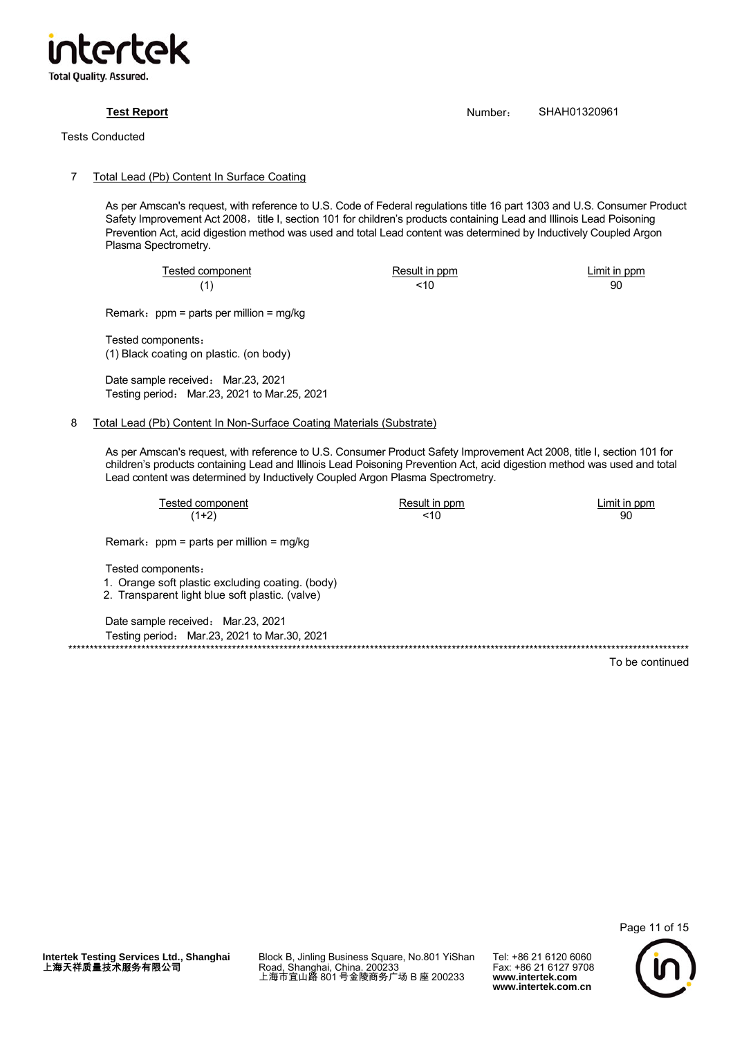

Tests Conducted

# 7 Total Lead (Pb) Content In Surface Coating

As per Amscan's request, with reference to U.S. Code of Federal regulations title 16 part 1303 and U.S. Consumer Product Safety Improvement Act 2008, title I, section 101 for children's products containing Lead and Illinois Lead Poisoning Prevention Act, acid digestion method was used and total Lead content was determined by Inductively Coupled Argon Plasma Spectrometry.

Tested component Tested component Result in ppm

(1)  $<$  10  $<$  90

Remark:  $ppm$  = parts per million = mg/kg

Tested components: (1) Black coating on plastic. (on body)

Date sample received: Mar.23, 2021 Testing period: Mar.23, 2021 to Mar.25, 2021

# 8 Total Lead (Pb) Content In Non-Surface Coating Materials (Substrate)

As per Amscan's request, with reference to U.S. Consumer Product Safety Improvement Act 2008, title I, section 101 for children's products containing Lead and Illinois Lead Poisoning Prevention Act, acid digestion method was used and total Lead content was determined by Inductively Coupled Argon Plasma Spectrometry.

| Tested component | Result in ppm | Limit in ppm |
|------------------|---------------|--------------|
| $(1+2)$          | '10           | 90           |

Remark:  $ppm =$  parts per million = mg/kg

Tested components:

- 1. Orange soft plastic excluding coating. (body)
- 2. Transparent light blue soft plastic. (valve)

Date sample received: Mar.23, 2021 Testing period: Mar.23, 2021 to Mar.30, 2021 \*\*\*\*\*\*\*\*\*\*\*\*\*\*\*\*\*\*\*\*\*\*\*\*\*\*\*\*\*\*\*\*\*\*\*\*\*\*\*\*\*\*\*\*\*\*\*\*\*\*\*\*\*\*\*\*\*\*\*\*\*\*\*\*\*\*\*\*\*\*\*\*\*\*\*\*\*\*\*\*\*\*\*\*\*\*\*\*\*\*\*\*\*\*\*\*\*\*\*\*\*\*\*\*\*\*\*\*\*\*\*\*\*\*\*\*\*\*\*\*\*\*\*\*\*\*\*\*\*\*\*\*\*\*\*\*\*\*\*\*\*\*\*\*

To be continued

Page 11 of 15

Block B, Jinling Business Square, No.801 YiShan Road, Shanghai, China. 200233 上海市宜山路 801 号金陵商务广场 B 座 200233

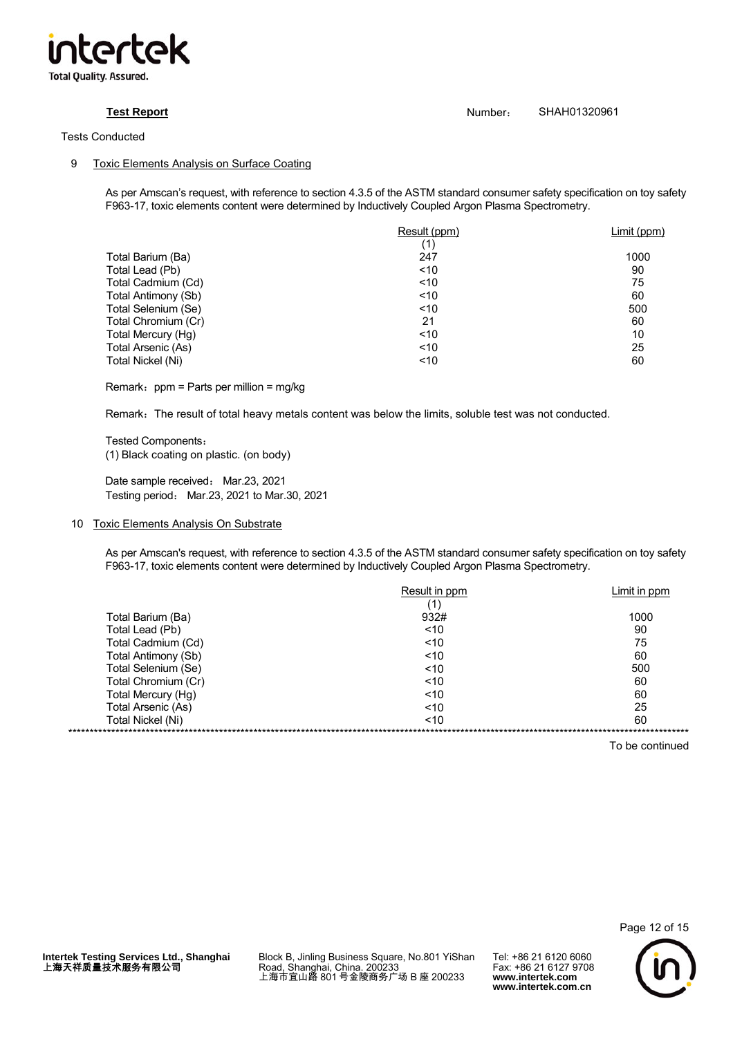

# **Test Report Number:** SHAH01320961

# 9 Toxic Elements Analysis on Surface Coating

As per Amscan's request, with reference to section 4.3.5 of the ASTM standard consumer safety specification on toy safety F963-17, toxic elements content were determined by Inductively Coupled Argon Plasma Spectrometry.

|                     | Result (ppm) | Limit (ppm) |
|---------------------|--------------|-------------|
|                     | (1)          |             |
| Total Barium (Ba)   | 247          | 1000        |
| Total Lead (Pb)     | ~10          | 90          |
| Total Cadmium (Cd)  | < 10         | 75          |
| Total Antimony (Sb) | ~10          | 60          |
| Total Selenium (Se) | < 10         | 500         |
| Total Chromium (Cr) | 21           | 60          |
| Total Mercury (Hg)  | ~10          | 10          |
| Total Arsenic (As)  | < 10         | 25          |
| Total Nickel (Ni)   | ~10          | 60          |

Remark: ppm = Parts per million = mg/kg

Remark: The result of total heavy metals content was below the limits, soluble test was not conducted.

Tested Components: (1) Black coating on plastic. (on body)

Date sample received: Mar.23, 2021 Testing period: Mar.23, 2021 to Mar.30, 2021

# 10 Toxic Elements Analysis On Substrate

As per Amscan's request, with reference to section 4.3.5 of the ASTM standard consumer safety specification on toy safety F963-17, toxic elements content were determined by Inductively Coupled Argon Plasma Spectrometry.

|                     | Result in ppm | Limit in ppm |
|---------------------|---------------|--------------|
|                     | 11∶           |              |
| Total Barium (Ba)   | 932#          | 1000         |
| Total Lead (Pb)     | ~10           | 90           |
| Total Cadmium (Cd)  | ~10           | 75           |
| Total Antimony (Sb) | ~10           | 60           |
| Total Selenium (Se) | ~10           | 500          |
| Total Chromium (Cr) | ~10           | 60           |
| Total Mercury (Hg)  | ~10           | 60           |
| Total Arsenic (As)  | ~10           | 25           |
| Total Nickel (Ni)   | ~10           | 60           |
|                     |               |              |

To be continued



Page 12 of 15

Block B, Jinling Business Square, No.801 YiShan Road, Shanghai, China. 200233 上海市宜山路 801 号金陵商务广场 B 座 200233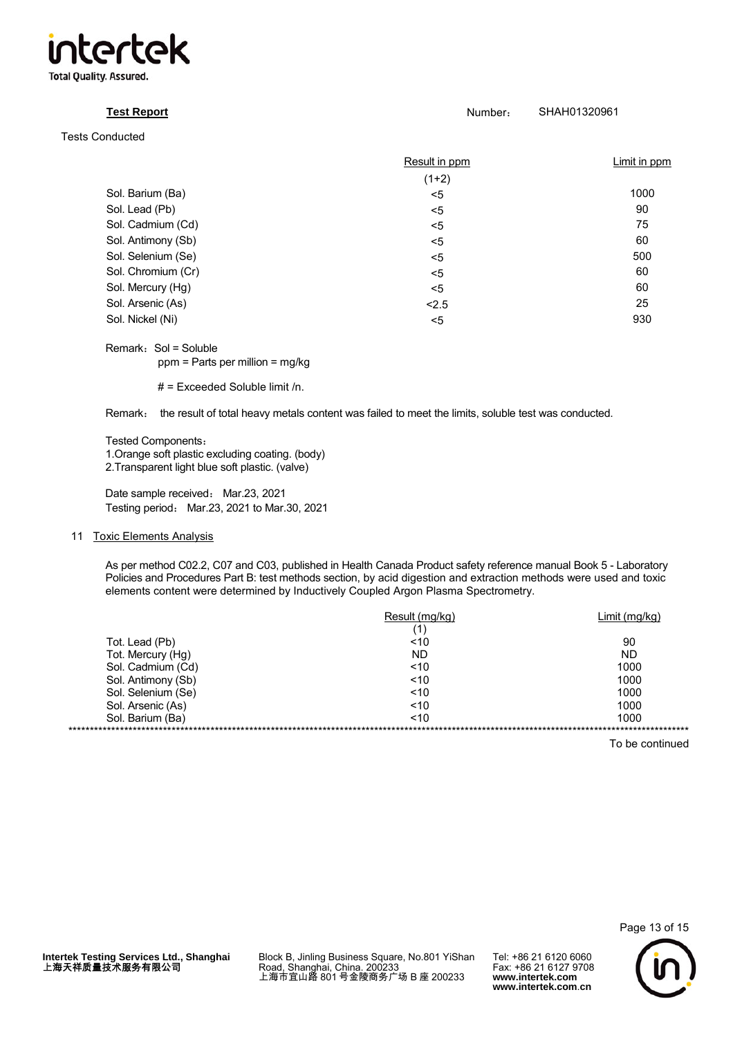

| <b>Test Report</b>     | Number:       | SHAH01320961 |
|------------------------|---------------|--------------|
| <b>Tests Conducted</b> |               |              |
|                        | Result in ppm | Limit in ppm |
|                        | $(1+2)$       |              |
| Sol. Barium (Ba)       | ≺5            | 1000         |
| Sol. Lead (Pb)         | $<$ 5         | 90           |
| Sol. Cadmium (Cd)      | $5$           | 75           |
| Sol. Antimony (Sb)     | $5$           | 60           |
| Sol. Selenium (Se)     | $<$ 5         | 500          |
| Sol. Chromium (Cr)     | $5$           | 60           |
| Sol. Mercury (Hg)      | $5$           | 60           |
| Sol. Arsenic (As)      | < 2.5         | 25           |
| Sol. Nickel (Ni)       | $5$           | 930          |

Remark: Sol = Soluble ppm = Parts per million = mg/kg

# = Exceeded Soluble limit /n.

Remark: the result of total heavy metals content was failed to meet the limits, soluble test was conducted.

Tested Components:

1.Orange soft plastic excluding coating. (body)

2.Transparent light blue soft plastic. (valve)

Date sample received: Mar.23, 2021 Testing period: Mar.23, 2021 to Mar.30, 2021

# 11 Toxic Elements Analysis

As per method C02.2, C07 and C03, published in Health Canada Product safety reference manual Book 5 - Laboratory Policies and Procedures Part B: test methods section, by acid digestion and extraction methods were used and toxic elements content were determined by Inductively Coupled Argon Plasma Spectrometry.

|                    | Result (mg/kg) | Limit (mg/kg) |  |
|--------------------|----------------|---------------|--|
|                    | (1)            |               |  |
| Tot. Lead (Pb)     | ~10            | 90            |  |
| Tot. Mercury (Hg)  | ND             | ND            |  |
| Sol. Cadmium (Cd)  | ~10            | 1000          |  |
| Sol. Antimony (Sb) | ~10            | 1000          |  |
| Sol. Selenium (Se) | < 10           | 1000          |  |
| Sol. Arsenic (As)  | ~10            | 1000          |  |
| Sol. Barium (Ba)   | ~10            | 1000          |  |
|                    |                |               |  |

To be continued



**Intertek Testing Services Ltd., Shanghai** 上海天祥质量技术服务有限公司

Block B, Jinling Business Square, No.801 YiShan Road, Shanghai, China. 200233 上海市宜山路 801 号金陵商务广场 B 座 200233

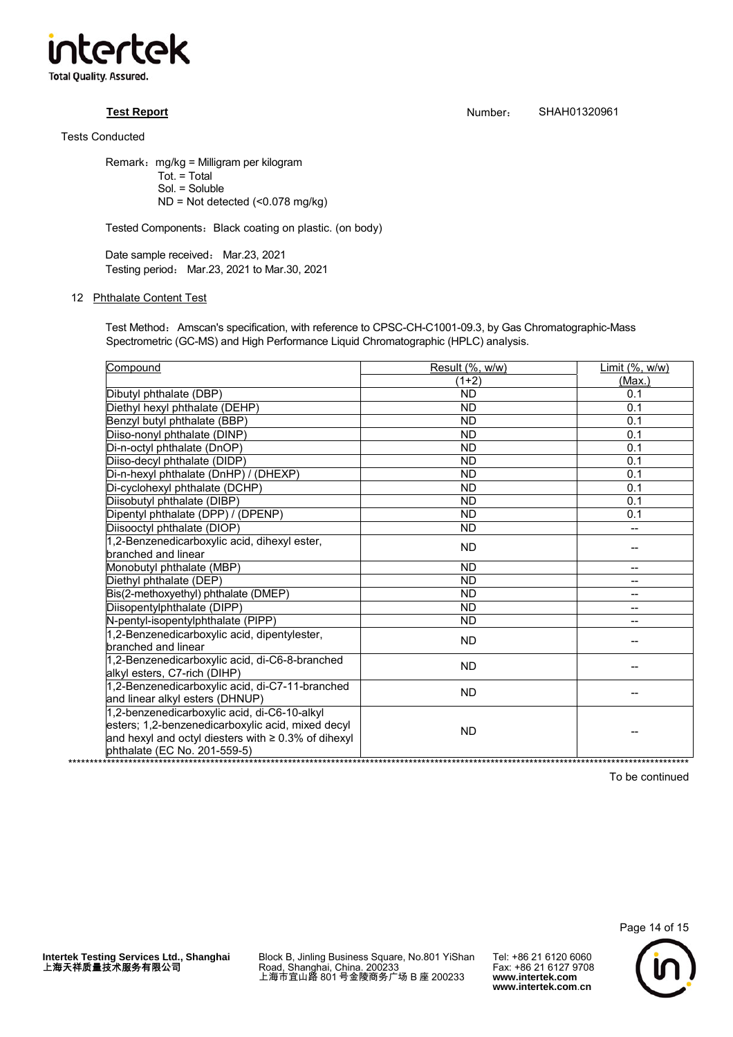

Remark: mg/kg = Milligram per kilogram Tot. = Total Sol. = Soluble ND = Not detected (<0.078 mg/kg)

Tested Components: Black coating on plastic. (on body)

Date sample received: Mar.23, 2021 Testing period: Mar.23, 2021 to Mar.30, 2021

# 12 Phthalate Content Test

Test Method: Amscan's specification, with reference to CPSC-CH-C1001-09.3, by Gas Chromatographic-Mass Spectrometric (GC-MS) and High Performance Liquid Chromatographic (HPLC) analysis.

| Compound                                                                                                                                                                                       | Result (%, w/w) | Limit (%, w/w) |
|------------------------------------------------------------------------------------------------------------------------------------------------------------------------------------------------|-----------------|----------------|
|                                                                                                                                                                                                | $(1+2)$         | (Max.)         |
| Dibutyl phthalate (DBP)                                                                                                                                                                        | <b>ND</b>       | 0.1            |
| Diethyl hexyl phthalate (DEHP)                                                                                                                                                                 | <b>ND</b>       | 0.1            |
| Benzyl butyl phthalate (BBP)                                                                                                                                                                   | <b>ND</b>       | 0.1            |
| Diiso-nonyl phthalate (DINP)                                                                                                                                                                   | <b>ND</b>       | 0.1            |
| Di-n-octyl phthalate (DnOP)                                                                                                                                                                    | <b>ND</b>       | 0.1            |
| Diiso-decyl phthalate (DIDP)                                                                                                                                                                   | <b>ND</b>       | 0.1            |
| Di-n-hexyl phthalate (DnHP) / (DHEXP)                                                                                                                                                          | <b>ND</b>       | 0.1            |
| Di-cyclohexyl phthalate (DCHP)                                                                                                                                                                 | <b>ND</b>       | 0.1            |
| Diisobutyl phthalate (DIBP)                                                                                                                                                                    | <b>ND</b>       | 0.1            |
| Dipentyl phthalate (DPP) / (DPENP)                                                                                                                                                             | <b>ND</b>       | 0.1            |
| Diisooctyl phthalate (DIOP)                                                                                                                                                                    | <b>ND</b>       |                |
| 1,2-Benzenedicarboxylic acid, dihexyl ester,                                                                                                                                                   | <b>ND</b>       |                |
| branched and linear                                                                                                                                                                            |                 |                |
| Monobutyl phthalate (MBP)                                                                                                                                                                      | <b>ND</b>       |                |
| Diethyl phthalate (DEP)                                                                                                                                                                        | <b>ND</b>       | --             |
| Bis(2-methoxyethyl) phthalate (DMEP)                                                                                                                                                           | <b>ND</b>       | --             |
| Diisopentylphthalate (DIPP)                                                                                                                                                                    | <b>ND</b>       | --             |
| N-pentyl-isopentylphthalate (PIPP)                                                                                                                                                             | <b>ND</b>       |                |
| 1,2-Benzenedicarboxylic acid, dipentylester,<br>branched and linear                                                                                                                            | <b>ND</b>       |                |
| 1,2-Benzenedicarboxylic acid, di-C6-8-branched<br>alkyl esters, C7-rich (DIHP)                                                                                                                 | <b>ND</b>       |                |
| 1,2-Benzenedicarboxylic acid, di-C7-11-branched<br>and linear alkyl esters (DHNUP)                                                                                                             | <b>ND</b>       |                |
| 1,2-benzenedicarboxylic acid, di-C6-10-alkyl<br>esters; 1,2-benzenedicarboxylic acid, mixed decyl<br>and hexyl and octyl diesters with $\geq 0.3\%$ of dihexyl<br>phthalate (EC No. 201-559-5) | <b>ND</b>       |                |

To be continued



**Intertek Testing Services Ltd., Shanghai** 上海天祥质量技术服务有限公司

Block B, Jinling Business Square, No.801 YiShan Road, Shanghai, China. 200233 上海市宜山路 801 号金陵商务广场 B 座 200233

Tel: +86 21 6120 6060 Fax: +86 21 6127 9708 **www.intertek.com www.intertek.com**.**cn**

**Test Report** Number: SHAH01320961